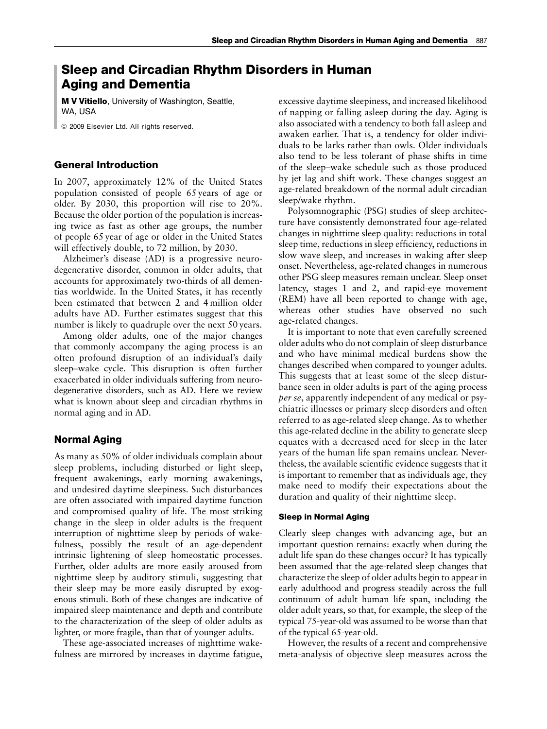# Sleep and Circadian Rhythm Disorders in Human Aging and Dementia

M V Vitiello, University of Washington, Seattle, WA, USA

ã 2009 Elsevier Ltd. All rights reserved.

## General Introduction

In 2007, approximately 12% of the United States population consisted of people 65 years of age or older. By 2030, this proportion will rise to 20%. Because the older portion of the population is increasing twice as fast as other age groups, the number of people 65 year of age or older in the United States will effectively double, to 72 million, by 2030.

Alzheimer's disease (AD) is a progressive neurodegenerative disorder, common in older adults, that accounts for approximately two-thirds of all dementias worldwide. In the United States, it has recently been estimated that between 2 and 4 million older adults have AD. Further estimates suggest that this number is likely to quadruple over the next 50 years.

Among older adults, one of the major changes that commonly accompany the aging process is an often profound disruption of an individual's daily sleep–wake cycle. This disruption is often further exacerbated in older individuals suffering from neurodegenerative disorders, such as AD. Here we review what is known about sleep and circadian rhythms in normal aging and in AD.

# Normal Aging

As many as 50% of older individuals complain about sleep problems, including disturbed or light sleep, frequent awakenings, early morning awakenings, and undesired daytime sleepiness. Such disturbances are often associated with impaired daytime function and compromised quality of life. The most striking change in the sleep in older adults is the frequent interruption of nighttime sleep by periods of wakefulness, possibly the result of an age-dependent intrinsic lightening of sleep homeostatic processes. Further, older adults are more easily aroused from nighttime sleep by auditory stimuli, suggesting that their sleep may be more easily disrupted by exogenous stimuli. Both of these changes are indicative of impaired sleep maintenance and depth and contribute to the characterization of the sleep of older adults as lighter, or more fragile, than that of younger adults.

These age-associated increases of nighttime wakefulness are mirrored by increases in daytime fatigue, excessive daytime sleepiness, and increased likelihood of napping or falling asleep during the day. Aging is also associated with a tendency to both fall asleep and awaken earlier. That is, a tendency for older individuals to be larks rather than owls. Older individuals also tend to be less tolerant of phase shifts in time of the sleep–wake schedule such as those produced by jet lag and shift work. These changes suggest an age-related breakdown of the normal adult circadian sleep/wake rhythm.

Polysomnographic (PSG) studies of sleep architecture have consistently demonstrated four age-related changes in nighttime sleep quality: reductions in total sleep time, reductions in sleep efficiency, reductions in slow wave sleep, and increases in waking after sleep onset. Nevertheless, age-related changes in numerous other PSG sleep measures remain unclear. Sleep onset latency, stages 1 and 2, and rapid-eye movement (REM) have all been reported to change with age, whereas other studies have observed no such age-related changes.

It is important to note that even carefully screened older adults who do not complain of sleep disturbance and who have minimal medical burdens show the changes described when compared to younger adults. This suggests that at least some of the sleep disturbance seen in older adults is part of the aging process per se, apparently independent of any medical or psychiatric illnesses or primary sleep disorders and often referred to as age-related sleep change. As to whether this age-related decline in the ability to generate sleep equates with a decreased need for sleep in the later years of the human life span remains unclear. Nevertheless, the available scientific evidence suggests that it is important to remember that as individuals age, they make need to modify their expectations about the duration and quality of their nighttime sleep.

#### Sleep in Normal Aging

Clearly sleep changes with advancing age, but an important question remains: exactly when during the adult life span do these changes occur? It has typically been assumed that the age-related sleep changes that characterize the sleep of older adults begin to appear in early adulthood and progress steadily across the full continuum of adult human life span, including the older adult years, so that, for example, the sleep of the typical 75-year-old was assumed to be worse than that of the typical 65-year-old.

However, the results of a recent and comprehensive meta-analysis of objective sleep measures across the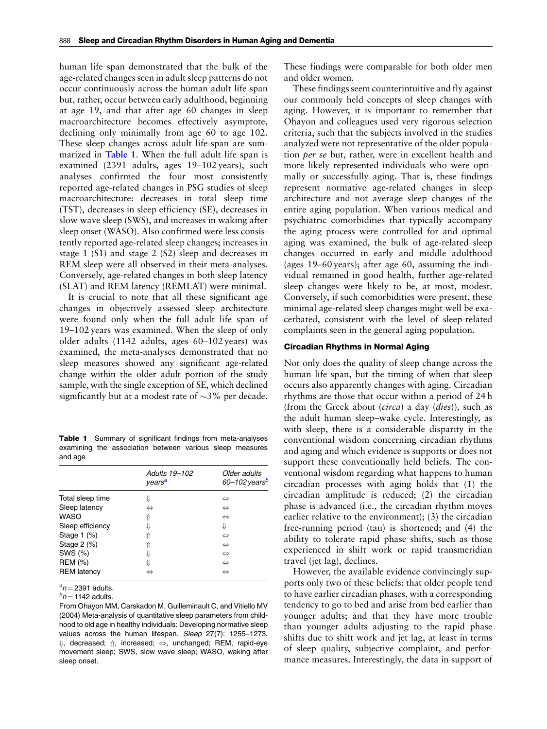human life span demonstrated that the bulk of the age-related changes seen in adult sleep patterns do not occur continuously across the human adult life span but, rather, occur between early adulthood, beginning at age 19, and that after age 60 changes in sleep macroarchitecture becomes effectively asymptote, declining only minimally from age 60 to age 102. These sleep changes across adult life-span are summarized in Table 1. When the full adult life span is examined (2391 adults, ages 19–102 years), such analyses confirmed the four most consistently reported age-related changes in PSG studies of sleep macroarchitecture: decreases in total sleep time (TST), decreases in sleep efficiency (SE), decreases in slow wave sleep (SWS), and increases in waking after sleep onset (WASO). Also confirmed were less consistently reported age-related sleep changes; increases in stage 1 (S1) and stage 2 (S2) sleep and decreases in REM sleep were all observed in their meta-analyses. Conversely, age-related changes in both sleep latency (SLAT) and REM latency (REMLAT) were minimal.

It is crucial to note that all these significant age changes in objectively assessed sleep architecture were found only when the full adult life span of 19–102 years was examined. When the sleep of only older adults (1142 adults, ages 60–102 years) was examined, the meta-analyses demonstrated that no sleep measures showed any significant age-related change within the older adult portion of the study sample, with the single exception of SE, which declined significantly but at a modest rate of  $\sim$ 3% per decade.

Table 1 Summary of significant findings from meta-analyses examining the association between various sleep measures and age

|                    | Adults 19-102<br>years <sup>a</sup> | Older adults<br>60–102 years <sup>b</sup> |
|--------------------|-------------------------------------|-------------------------------------------|
| Total sleep time   | ⇓                                   | $\Leftrightarrow$                         |
| Sleep latency      | $\Leftrightarrow$                   | $\Leftrightarrow$                         |
| WASO               | ⇑                                   | $\Leftrightarrow$                         |
| Sleep efficiency   | ⇓                                   | ⇓                                         |
| Stage $1$ $(\%)$   | ⇑                                   | $\Leftrightarrow$                         |
| Stage 2 (%)        |                                     | $\Leftrightarrow$                         |
| SWS (%)            | ⇓                                   | $\Leftrightarrow$                         |
| <b>REM (%)</b>     | ⇓                                   | $\Leftrightarrow$                         |
| <b>REM</b> latency | ⇔                                   | $\Leftrightarrow$                         |
|                    |                                     |                                           |

 $n = 2391$  adults.

 $b_n$  = 1142 adults.

From Ohayon MM, Carskadon M, Guilleminault C, and Vitiello MV (2004) Meta-analysis of quantitative sleep parameters from childhood to old age in healthy individuals: Developing normative sleep values across the human lifespan. Sleep 27(7): 1255-1273.  $\Downarrow$ , decreased;  $\Uparrow$ , increased;  $\Leftrightarrow$ , unchanged; REM, rapid-eye movement sleep; SWS, slow wave sleep; WASO, waking after sleep onset.

These findings were comparable for both older men and older women.

These findings seem counterintuitive and fly against our commonly held concepts of sleep changes with aging. However, it is important to remember that Ohayon and colleagues used very rigorous selection criteria, such that the subjects involved in the studies analyzed were not representative of the older population per se but, rather, were in excellent health and more likely represented individuals who were optimally or successfully aging. That is, these findings represent normative age-related changes in sleep architecture and not average sleep changes of the entire aging population. When various medical and psychiatric comorbidities that typically accompany the aging process were controlled for and optimal aging was examined, the bulk of age-related sleep changes occurred in early and middle adulthood (ages 19–60 years); after age 60, assuming the individual remained in good health, further age-related sleep changes were likely to be, at most, modest. Conversely, if such comorbidities were present, these minimal age-related sleep changes might well be exacerbated, consistent with the level of sleep-related complaints seen in the general aging population.

#### Circadian Rhythms in Normal Aging

Not only does the quality of sleep change across the human life span, but the timing of when that sleep occurs also apparently changes with aging. Circadian rhythms are those that occur within a period of 24 h (from the Greek about (*circa*) a day  $(dies)$ ), such as the adult human sleep–wake cycle. Interestingly, as with sleep, there is a considerable disparity in the conventional wisdom concerning circadian rhythms and aging and which evidence is supports or does not support these conventionally held beliefs. The conventional wisdom regarding what happens to human circadian processes with aging holds that (1) the circadian amplitude is reduced; (2) the circadian phase is advanced (i.e., the circadian rhythm moves earlier relative to the environment); (3) the circadian free-running period (tau) is shortened; and (4) the ability to tolerate rapid phase shifts, such as those experienced in shift work or rapid transmeridian travel (jet lag), declines.

However, the available evidence convincingly supports only two of these beliefs: that older people tend to have earlier circadian phases, with a corresponding tendency to go to bed and arise from bed earlier than younger adults; and that they have more trouble than younger adults adjusting to the rapid phase shifts due to shift work and jet lag, at least in terms of sleep quality, subjective complaint, and performance measures. Interestingly, the data in support of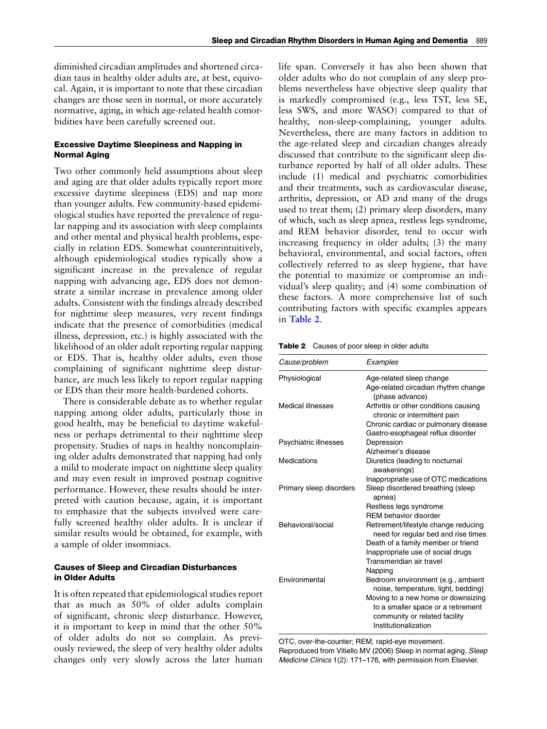diminished circadian amplitudes and shortened circadian taus in healthy older adults are, at best, equivocal. Again, it is important to note that these circadian changes are those seen in normal, or more accurately normative, aging, in which age-related health comorbidities have been carefully screened out.

### Excessive Daytime Sleepiness and Napping in Normal Aging

Two other commonly held assumptions about sleep and aging are that older adults typically report more excessive daytime sleepiness (EDS) and nap more than younger adults. Few community-based epidemiological studies have reported the prevalence of regular napping and its association with sleep complaints and other mental and physical health problems, especially in relation EDS. Somewhat counterintuitively, although epidemiological studies typically show a significant increase in the prevalence of regular napping with advancing age, EDS does not demonstrate a similar increase in prevalence among older adults. Consistent with the findings already described for nighttime sleep measures, very recent findings indicate that the presence of comorbidities (medical illness, depression, etc.) is highly associated with the likelihood of an older adult reporting regular napping or EDS. That is, healthy older adults, even those complaining of significant nighttime sleep disturbance, are much less likely to report regular napping or EDS than their more health-burdened cohorts.

There is considerable debate as to whether regular napping among older adults, particularly those in good health, may be beneficial to daytime wakefulness or perhaps detrimental to their nighttime sleep propensity. Studies of naps in healthy noncomplaining older adults demonstrated that napping had only a mild to moderate impact on nighttime sleep quality and may even result in improved postnap cognitive performance. However, these results should be interpreted with caution because, again, it is important to emphasize that the subjects involved were carefully screened healthy older adults. It is unclear if similar results would be obtained, for example, with a sample of older insomniacs.

#### Causes of Sleep and Circadian Disturbances in Older Adults

It is often repeated that epidemiological studies report that as much as 50% of older adults complain of significant, chronic sleep disturbance. However, it is important to keep in mind that the other 50% of older adults do not so complain. As previously reviewed, the sleep of very healthy older adults changes only very slowly across the later human life span. Conversely it has also been shown that older adults who do not complain of any sleep problems nevertheless have objective sleep quality that is markedly compromised (e.g., less TST, less SE, less SWS, and more WASO) compared to that of healthy, non-sleep-complaining, younger adults. Nevertheless, there are many factors in addition to the age-related sleep and circadian changes already discussed that contribute to the significant sleep disturbance reported by half of all older adults. These include (1) medical and psychiatric comorbidities and their treatments, such as cardiovascular disease, arthritis, depression, or AD and many of the drugs used to treat them; (2) primary sleep disorders, many of which, such as sleep apnea, restless legs syndrome, and REM behavior disorder, tend to occur with increasing frequency in older adults; (3) the many behavioral, environmental, and social factors, often collectively referred to as sleep hygiene, that have the potential to maximize or compromise an individual's sleep quality; and (4) some combination of these factors. A more comprehensive list of such contributing factors with specific examples appears in Table 2.

|  | Table 2 Causes of poor sleep in older adults |
|--|----------------------------------------------|
|--|----------------------------------------------|

| Cause/problem            | Examples                                                                    |
|--------------------------|-----------------------------------------------------------------------------|
| Physiological            | Age-related sleep change                                                    |
|                          | Age-related circadian rhythm change                                         |
|                          | (phase advance)                                                             |
| <b>Medical illnesses</b> | Arthritis or other conditions causing<br>chronic or intermittent pain       |
|                          | Chronic cardiac or pulmonary disease                                        |
|                          | Gastro-esophageal reflux disorder                                           |
| Psychiatric illnesses    | Depression                                                                  |
|                          | Alzheimer's disease                                                         |
| Medications              | Diuretics (leading to nocturnal<br>awakenings)                              |
|                          | Inappropriate use of OTC medications                                        |
| Primary sleep disorders  | Sleep disordered breathing (sleep<br>apnea)                                 |
|                          | Restless legs syndrome                                                      |
|                          | <b>RFM</b> behavior disorder                                                |
| Behavioral/social        | Retirement/lifestyle change reducing<br>need for regular bed and rise times |
|                          | Death of a family member or friend                                          |
|                          | Inappropriate use of social drugs                                           |
|                          | Transmeridian air travel                                                    |
|                          | Napping                                                                     |
| Environmental            | Bedroom environment (e.g., ambient<br>noise, temperature, light, bedding)   |
|                          | Moving to a new home or downsizing                                          |
|                          | to a smaller space or a retirement                                          |
|                          | community or related facility                                               |
|                          | Institutionalization                                                        |

OTC, over-the-counter; REM, rapid-eye movement. Reproduced from Vitiello MV (2006) Sleep in normal aging. Sleep Medicine Clinics 1(2): 171–176, with permission from Elsevier.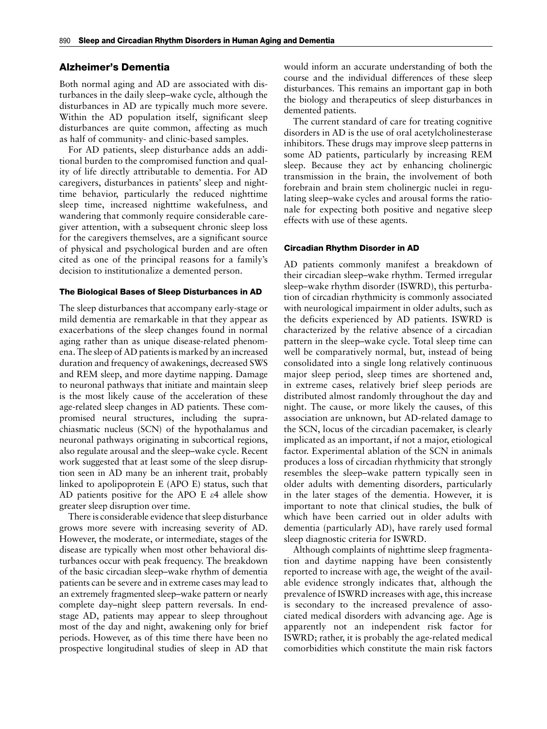## Alzheimer's Dementia

Both normal aging and AD are associated with disturbances in the daily sleep–wake cycle, although the disturbances in AD are typically much more severe. Within the AD population itself, significant sleep disturbances are quite common, affecting as much as half of community- and clinic-based samples.

For AD patients, sleep disturbance adds an additional burden to the compromised function and quality of life directly attributable to dementia. For AD caregivers, disturbances in patients' sleep and nighttime behavior, particularly the reduced nighttime sleep time, increased nighttime wakefulness, and wandering that commonly require considerable caregiver attention, with a subsequent chronic sleep loss for the caregivers themselves, are a significant source of physical and psychological burden and are often cited as one of the principal reasons for a family's decision to institutionalize a demented person.

#### The Biological Bases of Sleep Disturbances in AD

The sleep disturbances that accompany early-stage or mild dementia are remarkable in that they appear as exacerbations of the sleep changes found in normal aging rather than as unique disease-related phenomena. The sleep of AD patients is marked by an increased duration and frequency of awakenings, decreased SWS and REM sleep, and more daytime napping. Damage to neuronal pathways that initiate and maintain sleep is the most likely cause of the acceleration of these age-related sleep changes in AD patients. These compromised neural structures, including the suprachiasmatic nucleus (SCN) of the hypothalamus and neuronal pathways originating in subcortical regions, also regulate arousal and the sleep–wake cycle. Recent work suggested that at least some of the sleep disruption seen in AD many be an inherent trait, probably linked to apolipoprotein E (APO E) status, such that AD patients positive for the APO E  $\varepsilon$ 4 allele show greater sleep disruption over time.

There is considerable evidence that sleep disturbance grows more severe with increasing severity of AD. However, the moderate, or intermediate, stages of the disease are typically when most other behavioral disturbances occur with peak frequency. The breakdown of the basic circadian sleep–wake rhythm of dementia patients can be severe and in extreme cases may lead to an extremely fragmented sleep–wake pattern or nearly complete day–night sleep pattern reversals. In endstage AD, patients may appear to sleep throughout most of the day and night, awakening only for brief periods. However, as of this time there have been no prospective longitudinal studies of sleep in AD that

would inform an accurate understanding of both the course and the individual differences of these sleep disturbances. This remains an important gap in both the biology and therapeutics of sleep disturbances in demented patients.

The current standard of care for treating cognitive disorders in AD is the use of oral acetylcholinesterase inhibitors. These drugs may improve sleep patterns in some AD patients, particularly by increasing REM sleep. Because they act by enhancing cholinergic transmission in the brain, the involvement of both forebrain and brain stem cholinergic nuclei in regulating sleep–wake cycles and arousal forms the rationale for expecting both positive and negative sleep effects with use of these agents.

#### Circadian Rhythm Disorder in AD

AD patients commonly manifest a breakdown of their circadian sleep–wake rhythm. Termed irregular sleep–wake rhythm disorder (ISWRD), this perturbation of circadian rhythmicity is commonly associated with neurological impairment in older adults, such as the deficits experienced by AD patients. ISWRD is characterized by the relative absence of a circadian pattern in the sleep–wake cycle. Total sleep time can well be comparatively normal, but, instead of being consolidated into a single long relatively continuous major sleep period, sleep times are shortened and, in extreme cases, relatively brief sleep periods are distributed almost randomly throughout the day and night. The cause, or more likely the causes, of this association are unknown, but AD-related damage to the SCN, locus of the circadian pacemaker, is clearly implicated as an important, if not a major, etiological factor. Experimental ablation of the SCN in animals produces a loss of circadian rhythmicity that strongly resembles the sleep–wake pattern typically seen in older adults with dementing disorders, particularly in the later stages of the dementia. However, it is important to note that clinical studies, the bulk of which have been carried out in older adults with dementia (particularly AD), have rarely used formal sleep diagnostic criteria for ISWRD.

Although complaints of nighttime sleep fragmentation and daytime napping have been consistently reported to increase with age, the weight of the available evidence strongly indicates that, although the prevalence of ISWRD increases with age, this increase is secondary to the increased prevalence of associated medical disorders with advancing age. Age is apparently not an independent risk factor for ISWRD; rather, it is probably the age-related medical comorbidities which constitute the main risk factors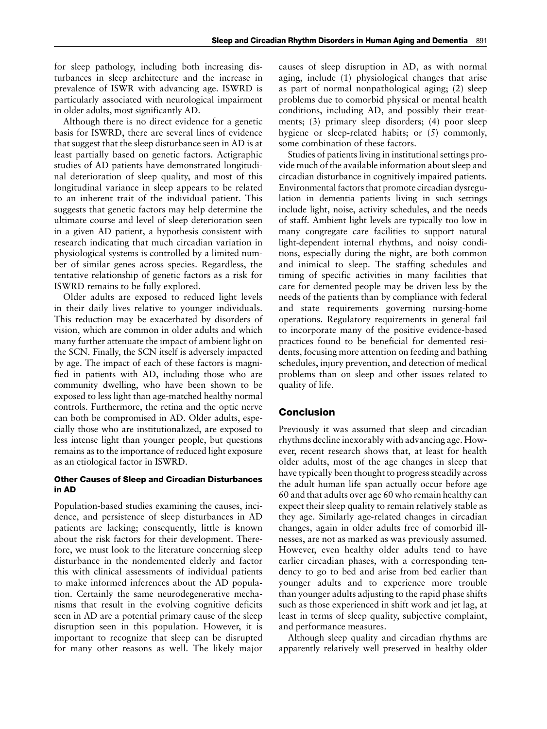for sleep pathology, including both increasing disturbances in sleep architecture and the increase in prevalence of ISWR with advancing age. ISWRD is particularly associated with neurological impairment in older adults, most significantly AD.

Although there is no direct evidence for a genetic basis for ISWRD, there are several lines of evidence that suggest that the sleep disturbance seen in AD is at least partially based on genetic factors. Actigraphic studies of AD patients have demonstrated longitudinal deterioration of sleep quality, and most of this longitudinal variance in sleep appears to be related to an inherent trait of the individual patient. This suggests that genetic factors may help determine the ultimate course and level of sleep deterioration seen in a given AD patient, a hypothesis consistent with research indicating that much circadian variation in physiological systems is controlled by a limited number of similar genes across species. Regardless, the tentative relationship of genetic factors as a risk for ISWRD remains to be fully explored.

Older adults are exposed to reduced light levels in their daily lives relative to younger individuals. This reduction may be exacerbated by disorders of vision, which are common in older adults and which many further attenuate the impact of ambient light on the SCN. Finally, the SCN itself is adversely impacted by age. The impact of each of these factors is magnified in patients with AD, including those who are community dwelling, who have been shown to be exposed to less light than age-matched healthy normal controls. Furthermore, the retina and the optic nerve can both be compromised in AD. Older adults, especially those who are institutionalized, are exposed to less intense light than younger people, but questions remains as to the importance of reduced light exposure as an etiological factor in ISWRD.

## Other Causes of Sleep and Circadian Disturbances in AD

Population-based studies examining the causes, incidence, and persistence of sleep disturbances in AD patients are lacking; consequently, little is known about the risk factors for their development. Therefore, we must look to the literature concerning sleep disturbance in the nondemented elderly and factor this with clinical assessments of individual patients to make informed inferences about the AD population. Certainly the same neurodegenerative mechanisms that result in the evolving cognitive deficits seen in AD are a potential primary cause of the sleep disruption seen in this population. However, it is important to recognize that sleep can be disrupted for many other reasons as well. The likely major

causes of sleep disruption in AD, as with normal aging, include (1) physiological changes that arise as part of normal nonpathological aging; (2) sleep problems due to comorbid physical or mental health conditions, including AD, and possibly their treatments; (3) primary sleep disorders; (4) poor sleep hygiene or sleep-related habits; or (5) commonly, some combination of these factors.

Studies of patients living in institutional settings provide much of the available information about sleep and circadian disturbance in cognitively impaired patients. Environmental factors that promote circadian dysregulation in dementia patients living in such settings include light, noise, activity schedules, and the needs of staff. Ambient light levels are typically too low in many congregate care facilities to support natural light-dependent internal rhythms, and noisy conditions, especially during the night, are both common and inimical to sleep. The staffing schedules and timing of specific activities in many facilities that care for demented people may be driven less by the needs of the patients than by compliance with federal and state requirements governing nursing-home operations. Regulatory requirements in general fail to incorporate many of the positive evidence-based practices found to be beneficial for demented residents, focusing more attention on feeding and bathing schedules, injury prevention, and detection of medical problems than on sleep and other issues related to quality of life.

# Conclusion

Previously it was assumed that sleep and circadian rhythms decline inexorably with advancing age. However, recent research shows that, at least for health older adults, most of the age changes in sleep that have typically been thought to progress steadily across the adult human life span actually occur before age 60 and that adults over age 60 who remain healthy can expect their sleep quality to remain relatively stable as they age. Similarly age-related changes in circadian changes, again in older adults free of comorbid illnesses, are not as marked as was previously assumed. However, even healthy older adults tend to have earlier circadian phases, with a corresponding tendency to go to bed and arise from bed earlier than younger adults and to experience more trouble than younger adults adjusting to the rapid phase shifts such as those experienced in shift work and jet lag, at least in terms of sleep quality, subjective complaint, and performance measures.

Although sleep quality and circadian rhythms are apparently relatively well preserved in healthy older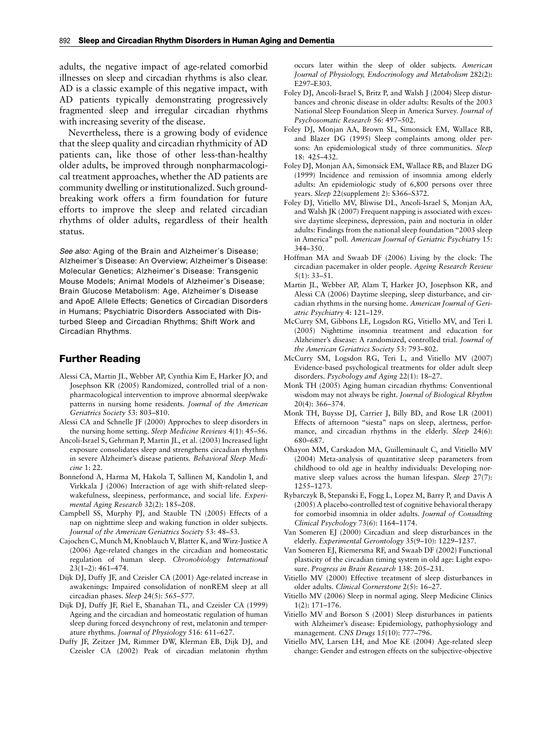adults, the negative impact of age-related comorbid illnesses on sleep and circadian rhythms is also clear. AD is a classic example of this negative impact, with AD patients typically demonstrating progressively fragmented sleep and irregular circadian rhythms with increasing severity of the disease.

Nevertheless, there is a growing body of evidence that the sleep quality and circadian rhythmicity of AD patients can, like those of other less-than-healthy older adults, be improved through nonpharmacological treatment approaches, whether the AD patients are community dwelling or institutionalized. Such groundbreaking work offers a firm foundation for future efforts to improve the sleep and related circadian rhythms of older adults, regardless of their health status.

See also: Aging of the Brain and Alzheimer's Disease; Alzheimer's Disease: An Overview; Alzheimer's Disease: Molecular Genetics; Alzheimer's Disease: Transgenic Mouse Models; Animal Models of Alzheimer's Disease; Brain Glucose Metabolism: Age, Alzheimer's Disease and ApoE Allele Effects; Genetics of Circadian Disorders in Humans; Psychiatric Disorders Associated with Disturbed Sleep and Circadian Rhythms; Shift Work and Circadian Rhythms.

## Further Reading

- Alessi CA, Martin JL, Webber AP, Cynthia Kim E, Harker JO, and Josephson KR (2005) Randomized, controlled trial of a nonpharmacological intervention to improve abnormal sleep/wake patterns in nursing home residents. Journal of the American Geriatrics Society 53: 803–810.
- Alessi CA and Schnelle JF (2000) Approches to sleep disorders in the nursing home setting. Sleep Medicine Reviews 4(1): 45–56.
- Ancoli-Israel S, Gehrman P, Martin JL, et al. (2003) Increased light exposure consolidates sleep and strengthens circadian rhythms in severe Alzheimer's disease patients. Behavioral Sleep Medicine 1: 22.
- Bonnefond A, Harma M, Hakola T, Sallinen M, Kandolin I, and Virkkala J (2006) Interaction of age with shift-related sleepwakefulness, sleepiness, performance, and social life. Experimental Aging Research 32(2): 185–208.
- Campbell SS, Murphy PJ, and Stauble TN (2005) Effects of a nap on nighttime sleep and waking function in older subjects. Journal of the American Geriatrics Society 53: 48–53.
- Cajochen C, Munch M, Knoblauch V, Blatter K, and Wirz-Justice A (2006) Age-related changes in the circadian and homeostatic regulation of human sleep. Chronobiology International 23(1–2): 461–474.
- Dijk DJ, Duffy JF, and Czeisler CA (2001) Age-related increase in awakenings: Impaired consolidation of nonREM sleep at all circadian phases. Sleep 24(5): 565–577.
- Dijk DJ, Duffy JF, Riel E, Shanahan TL, and Czeisler CA (1999) Ageing and the circadian and homeostatic regulation of human sleep during forced desynchrony of rest, melatonin and temperature rhythms. Journal of Physiology 516: 611–627.
- Duffy JF, Zeitzer JM, Rimmer DW, Klerman EB, Dijk DJ, and Czeisler CA (2002) Peak of circadian melatonin rhythm

occurs later within the sleep of older subjects. American Journal of Physiology, Endocrinology and Metabolism 282(2): E297–E303.

- Foley DJ, Ancoli-Israel S, Britz P, and Walsh J (2004) Sleep disturbances and chronic disease in older adults: Results of the 2003 National Sleep Foundation Sleep in America Survey. Journal of Psychosomatic Research 56: 497–502.
- Foley DJ, Monjan AA, Brown SL, Simonsick EM, Wallace RB, and Blazer DG (1995) Sleep complaints among older persons: An epidemiological study of three communities. Sleep 18: 425–432.
- Foley DJ, Monjan AA, Simonsick EM, Wallace RB, and Blazer DG (1999) Incidence and remission of insomnia among elderly adults: An epidemiologic study of 6,800 persons over three years. Sleep 22(supplement 2): S366–S372.
- Foley DJ, Vitiello MV, Bliwise DL, Ancoli-Israel S, Monjan AA, and Walsh JK (2007) Frequent napping is associated with excessive daytime sleepiness, depression, pain and nocturia in older adults: Findings from the national sleep foundation "2003 sleep in America'' poll. American Journal of Geriatric Psychiatry 15: 344–350.
- Hoffman MA and Swaab DF (2006) Living by the clock: The circadian pacemaker in older people. Ageing Research Review 5(1): 33–51.
- Martin JL, Webber AP, Alam T, Harker JO, Josephson KR, and Alessi CA (2006) Daytime sleeping, sleep disturbance, and circadian rhythms in the nursing home. American Journal of Geriatric Psychiatry 4: 121–129.
- McCurry SM, Gibbons LE, Logsdon RG, Vitiello MV, and Teri L (2005) Nighttime insomnia treatment and education for Alzheimer's disease: A randomized, controlled trial. Journal of the American Geriatrics Society 53: 793–802.
- McCurry SM, Logsdon RG, Teri L, and Vitiello MV (2007) Evidence-based psychological treatments for older adult sleep disorders. Psychology and Aging 22(1): 18–27.
- Monk TH (2005) Aging human circadian rhythms: Conventional wisdom may not always be right. Journal of Biological Rhythm 20(4): 366–374.
- Monk TH, Buysse DJ, Carrier J, Billy BD, and Rose LR (2001) Effects of afternoon "siesta" naps on sleep, alertness, performance, and circadian rhythms in the elderly. Sleep 24(6): 680–687.
- Ohayon MM, Carskadon MA, Guilleminault C, and Vitiello MV (2004) Meta-analysis of quantitative sleep parameters from childhood to old age in healthy individuals: Developing normative sleep values across the human lifespan. Sleep 27(7): 1255–1273.
- Rybarczyk B, Stepanski E, Fogg L, Lopez M, Barry P, and Davis A (2005) A placebo-controlled test of cognitive behavioral therapy for comorbid insomnia in older adults. Journal of Consulting Clinical Psychology 73(6): 1164–1174.
- Van Someren EJ (2000) Circadian and sleep disturbances in the elderly. Experimental Gerontology 35(9–10): 1229–1237.
- Van Someren EJ, Riemersma RF, and Swaab DF (2002) Functional plasticity of the circadian timing system in old age: Light exposure. Progress in Brain Research 138: 205–231.
- Vitiello MV (2000) Effective treatment of sleep disturbances in older adults. Clinical Cornerstone 2(5): 16–27.
- Vitiello MV (2006) Sleep in normal aging. Sleep Medicine Clinics 1(2): 171–176.
- Vitiello MV and Borson S (2001) Sleep disturbances in patients with Alzheimer's disease: Epidemiology, pathophysiology and management. CNS Drugs 15(10): 777–796.
- Vitiello MV, Larsen LH, and Moe KE (2004) Age-related sleep change: Gender and estrogen effects on the subjective-objective